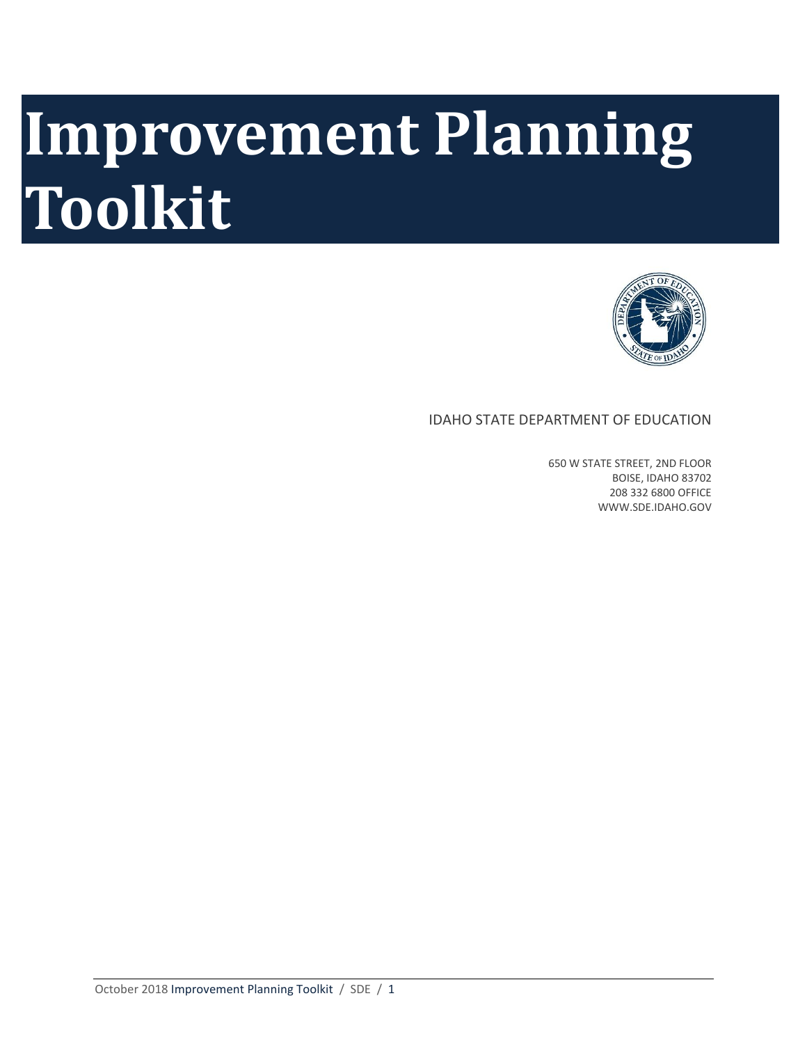# **Improvement Planning Toolkit**



#### IDAHO STATE DEPARTMENT OF EDUCATION

650 W STATE STREET, 2ND FLOOR BOISE, IDAHO 83702 208 332 6800 OFFICE WWW.SDE.IDAHO.GOV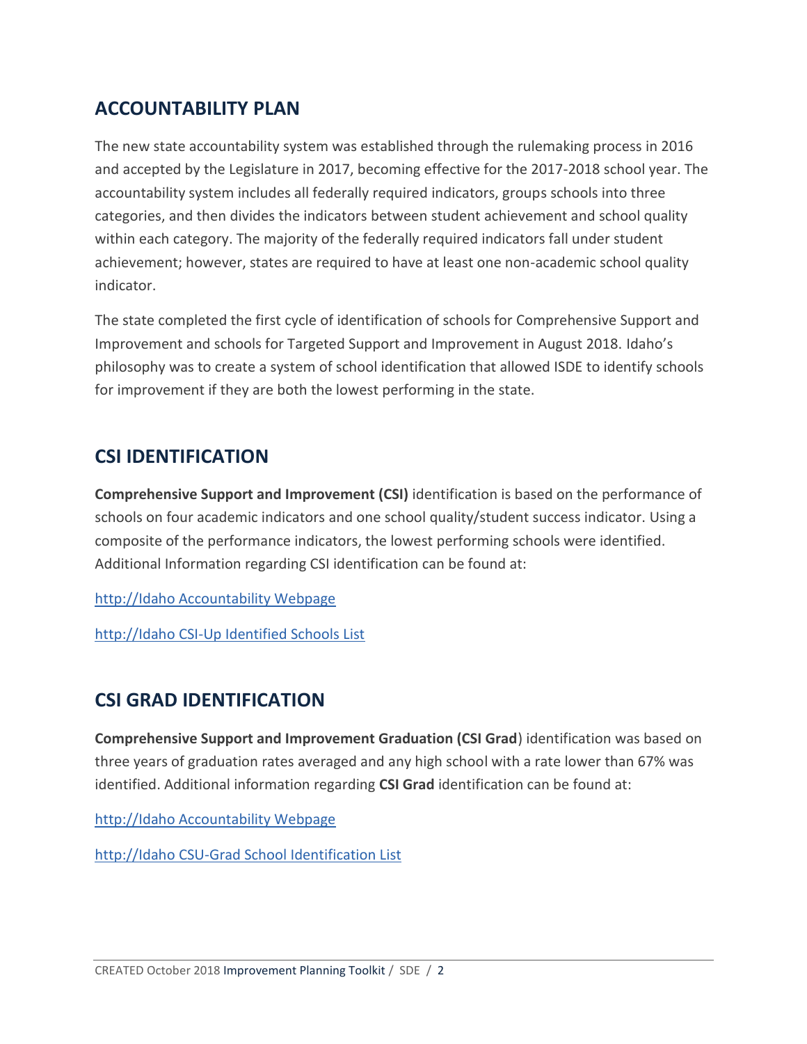## **ACCOUNTABILITY PLAN**

The new state accountability system was established through the rulemaking process in 2016 and accepted by the Legislature in 2017, becoming effective for the 2017-2018 school year. The accountability system includes all federally required indicators, groups schools into three categories, and then divides the indicators between student achievement and school quality within each category. The majority of the federally required indicators fall under student achievement; however, states are required to have at least one non-academic school quality indicator.

The state completed the first cycle of identification of schools for Comprehensive Support and Improvement and schools for Targeted Support and Improvement in August 2018. Idaho's philosophy was to create a system of school identification that allowed ISDE to identify schools for improvement if they are both the lowest performing in the state.

## **CSI IDENTIFICATION**

**Comprehensive Support and Improvement (CSI)** identification is based on the performance of schools on four academic indicators and one school quality/student success indicator. Using a composite of the performance indicators, the lowest performing schools were identified. Additional Information regarding CSI identification can be found at:

[http://Idaho Accountability Webpage](http://www.sde.idaho.gov/assessment/accountability/index.html) 

[http://Idaho CSI-Up Identified Schools List](http://www.sde.idaho.gov/assessment/accountability/files/accountability-results/2018/Schools-identified-for-comprehensive-support-and-improvement.xls) 

# **CSI GRAD IDENTIFICATION**

**Comprehensive Support and Improvement Graduation (CSI Grad**) identification was based on three years of graduation rates averaged and any high school with a rate lower than 67% was identified. Additional information regarding **CSI Grad** identification can be found at:

[http://Idaho Accountability Webpage](http://www.sde.idaho.gov/assessment/accountability/index.html) 

[http://Idaho CSU-Grad School Identification List](http://www.sde.idaho.gov/assessment/accountability/files/accountability-results/2018/Schools-identified-for-grad-rate-less-than-67-percent.xls)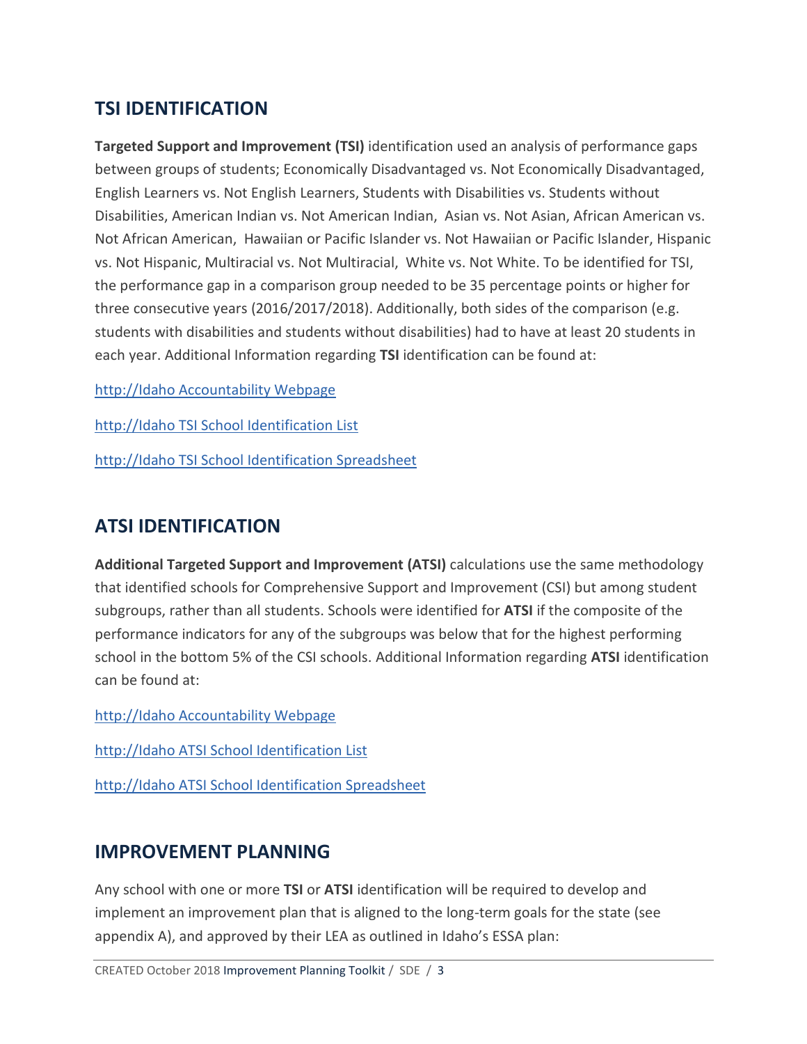## **TSI IDENTIFICATION**

**Targeted Support and Improvement (TSI)** identification used an analysis of performance gaps between groups of students; Economically Disadvantaged vs. Not Economically Disadvantaged, English Learners vs. Not English Learners, Students with Disabilities vs. Students without Disabilities, American Indian vs. Not American Indian, Asian vs. Not Asian, African American vs. Not African American, Hawaiian or Pacific Islander vs. Not Hawaiian or Pacific Islander, Hispanic vs. Not Hispanic, Multiracial vs. Not Multiracial, White vs. Not White. To be identified for TSI, the performance gap in a comparison group needed to be 35 percentage points or higher for three consecutive years (2016/2017/2018). Additionally, both sides of the comparison (e.g. students with disabilities and students without disabilities) had to have at least 20 students in each year. Additional Information regarding **TSI** identification can be found at:

[http://Idaho Accountability Webpage](http://www.sde.idaho.gov/assessment/accountability/index.html) 

[http://Idaho TSI School Identification List](http://www.sde.idaho.gov/assessment/accountability/files/accountability-results/2018/2018-Targeted-Support-and-Improvement-Summary.pdf)

[http://Idaho TSI School Identification Spreadsheet](http://www.sde.idaho.gov/assessment/accountability/files/accountability-results/2018/2018-TSI-Measure-Summary.xlsx)

## **ATSI IDENTIFICATION**

**Additional Targeted Support and Improvement (ATSI)** calculations use the same methodology that identified schools for Comprehensive Support and Improvement (CSI) but among student subgroups, rather than all students. Schools were identified for **ATSI** if the composite of the performance indicators for any of the subgroups was below that for the highest performing school in the bottom 5% of the CSI schools. Additional Information regarding **ATSI** identification can be found at:

[http://Idaho Accountability Webpage](http://www.sde.idaho.gov/assessment/accountability/index.html) 

[http://Idaho ATSI School Identification List](http://www.sde.idaho.gov/assessment/accountability/files/accountability-results/2018/2018-ATSI-Summary.pdf)

[http://Idaho ATSI School Identification Spreadsheet](http://www.sde.idaho.gov/assessment/accountability/files/accountability-results/2018/2018-ATSI-Identifications.xlsx)

#### **IMPROVEMENT PLANNING**

Any school with one or more **TSI** or **ATSI** identification will be required to develop and implement an improvement plan that is aligned to the long-term goals for the state (see appendix A), and approved by their LEA as outlined in Idaho's ESSA plan: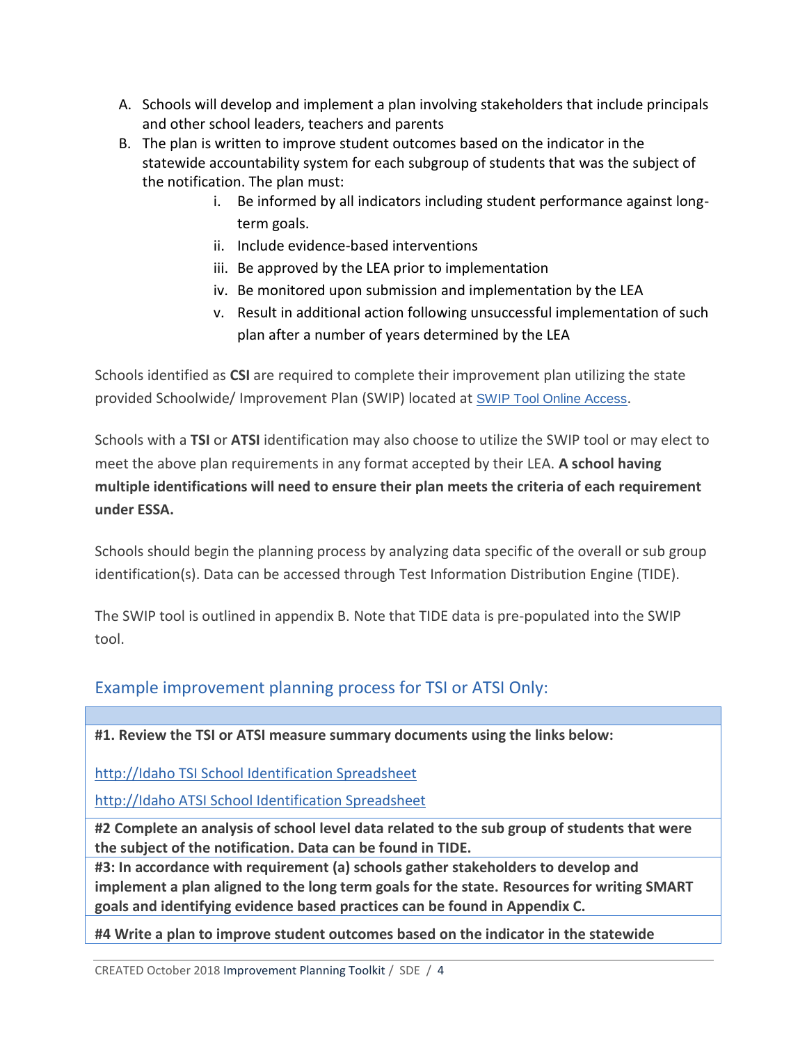- A. Schools will develop and implement a plan involving stakeholders that include principals and other school leaders, teachers and parents
- B. The plan is written to improve student outcomes based on the indicator in the statewide accountability system for each subgroup of students that was the subject of the notification. The plan must:
	- i. Be informed by all indicators including student performance against longterm goals.
	- ii. Include evidence-based interventions
	- iii. Be approved by the LEA prior to implementation
	- iv. Be monitored upon submission and implementation by the LEA
	- v. Result in additional action following unsuccessful implementation of such plan after a number of years determined by the LEA

Schools identified as **CSI** are required to complete their improvement plan utilizing the state provided Schoolwide/ Improvement Plan (SWIP) located at [SWIP Tool Online Access](http://apps.sde.idaho.gov/SWIP/Home/Home).

Schools with a **TSI** or **ATSI** identification may also choose to utilize the SWIP tool or may elect to meet the above plan requirements in any format accepted by their LEA. **A school having multiple identifications will need to ensure their plan meets the criteria of each requirement under ESSA.**

Schools should begin the planning process by analyzing data specific of the overall or sub group identification(s). Data can be accessed through Test Information Distribution Engine (TIDE).

The SWIP tool is outlined in appendix B. Note that TIDE data is pre-populated into the SWIP tool.

#### Example improvement planning process for TSI or ATSI Only:

**#1. Review the TSI or ATSI measure summary documents using the links below:** 

[http://Idaho TSI School Identification Spreadsheet](http://www.sde.idaho.gov/assessment/accountability/files/accountability-results/2018/2018-TSI-Measure-Summary.xlsx)

[http://Idaho ATSI School Identification Spreadsheet](http://www.sde.idaho.gov/assessment/accountability/files/accountability-results/2018/2018-ATSI-Identifications.xlsx)

**#2 Complete an analysis of school level data related to the sub group of students that were the subject of the notification. Data can be found in TIDE.**

**#3: In accordance with requirement (a) schools gather stakeholders to develop and implement a plan aligned to the long term goals for the state. Resources for writing SMART goals and identifying evidence based practices can be found in Appendix C.**

**#4 Write a plan to improve student outcomes based on the indicator in the statewide**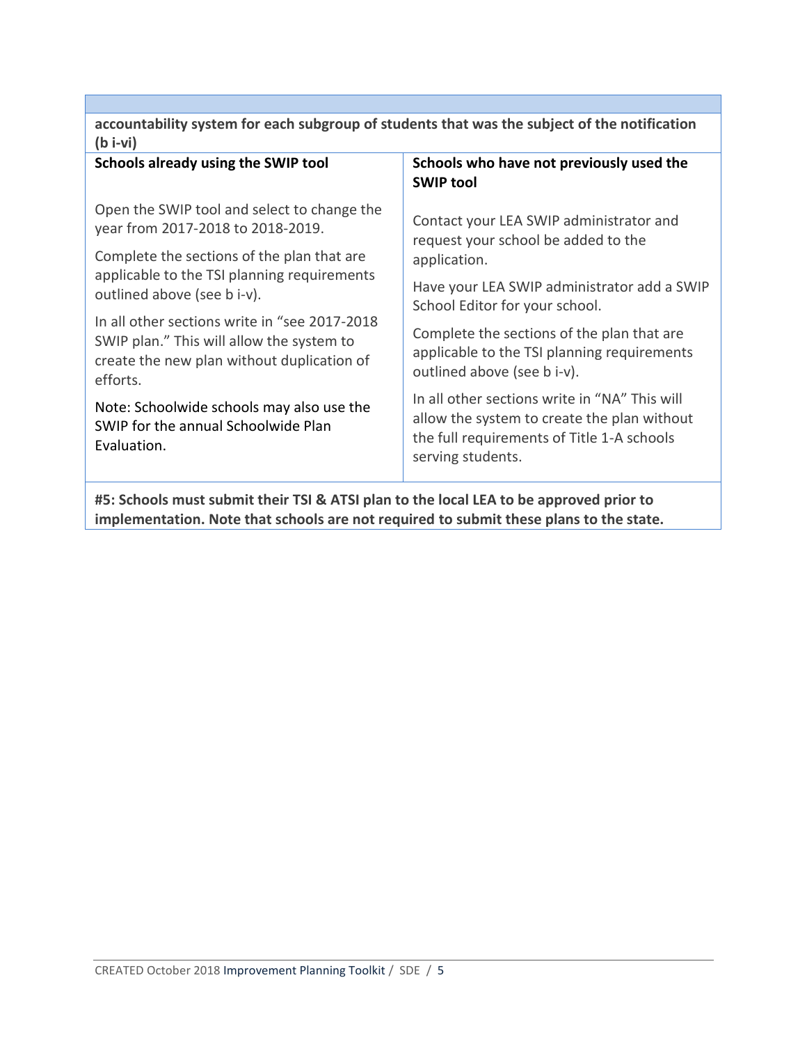| accountability system for each subgroup of students that was the subject of the notification<br>$(b - vi)$                                           |                                                                                                                                                                 |  |
|------------------------------------------------------------------------------------------------------------------------------------------------------|-----------------------------------------------------------------------------------------------------------------------------------------------------------------|--|
| Schools already using the SWIP tool                                                                                                                  | Schools who have not previously used the<br><b>SWIP tool</b>                                                                                                    |  |
| Open the SWIP tool and select to change the<br>year from 2017-2018 to 2018-2019.                                                                     | Contact your LEA SWIP administrator and<br>request your school be added to the                                                                                  |  |
| Complete the sections of the plan that are                                                                                                           | application.                                                                                                                                                    |  |
| applicable to the TSI planning requirements<br>outlined above (see b i-v).                                                                           | Have your LEA SWIP administrator add a SWIP<br>School Editor for your school.                                                                                   |  |
| In all other sections write in "see 2017-2018<br>SWIP plan." This will allow the system to<br>create the new plan without duplication of<br>efforts. | Complete the sections of the plan that are<br>applicable to the TSI planning requirements<br>outlined above (see b i-v).                                        |  |
| Note: Schoolwide schools may also use the<br>SWIP for the annual Schoolwide Plan<br>Evaluation.                                                      | In all other sections write in "NA" This will<br>allow the system to create the plan without<br>the full requirements of Title 1-A schools<br>serving students. |  |
| #5: Schools must submit their TSI & ATSI plan to the local LEA to be approved prior to                                                               |                                                                                                                                                                 |  |

**implementation. Note that schools are not required to submit these plans to the state.**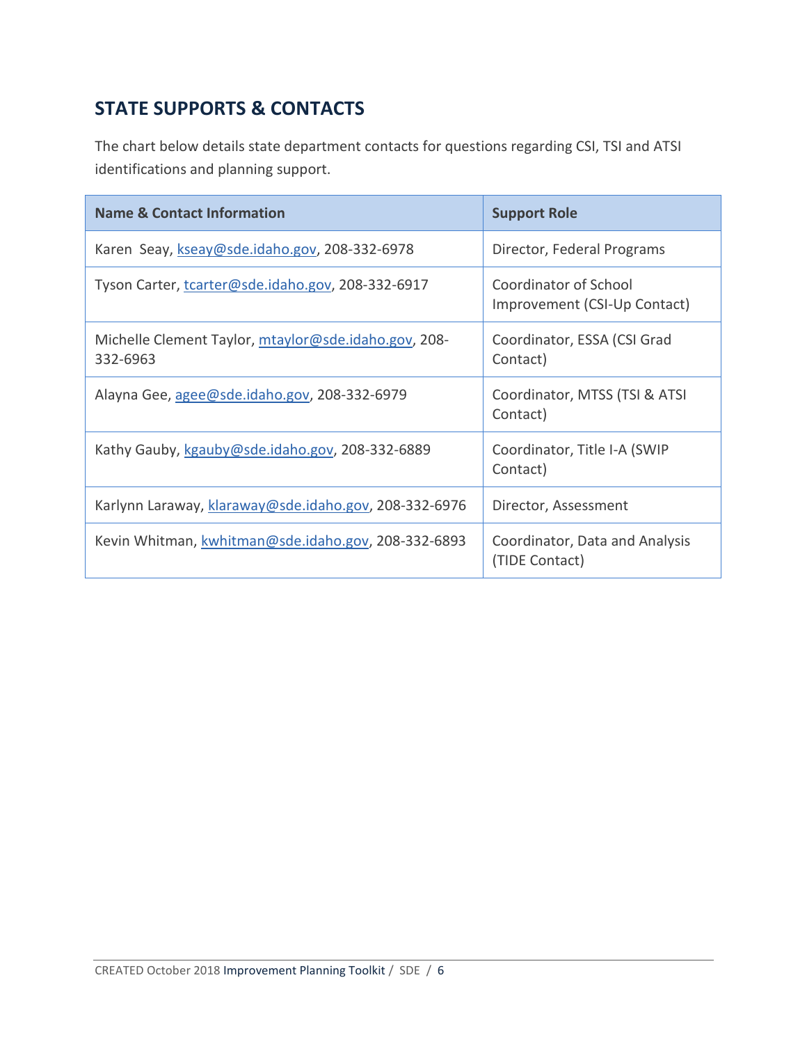# **STATE SUPPORTS & CONTACTS**

The chart below details state department contacts for questions regarding CSI, TSI and ATSI identifications and planning support.

| <b>Name &amp; Contact Information</b>                            | <b>Support Role</b>                                   |
|------------------------------------------------------------------|-------------------------------------------------------|
| Karen Seay, kseay@sde.idaho.gov, 208-332-6978                    | Director, Federal Programs                            |
| Tyson Carter, tcarter@sde.idaho.gov, 208-332-6917                | Coordinator of School<br>Improvement (CSI-Up Contact) |
| Michelle Clement Taylor, mtaylor@sde.idaho.gov, 208-<br>332-6963 | Coordinator, ESSA (CSI Grad<br>Contact)               |
| Alayna Gee, agee@sde.idaho.gov, 208-332-6979                     | Coordinator, MTSS (TSI & ATSI<br>Contact)             |
| Kathy Gauby, kgauby@sde.idaho.gov, 208-332-6889                  | Coordinator, Title I-A (SWIP<br>Contact)              |
| Karlynn Laraway, klaraway@sde.idaho.gov, 208-332-6976            | Director, Assessment                                  |
| Kevin Whitman, kwhitman@sde.idaho.gov, 208-332-6893              | Coordinator, Data and Analysis<br>(TIDE Contact)      |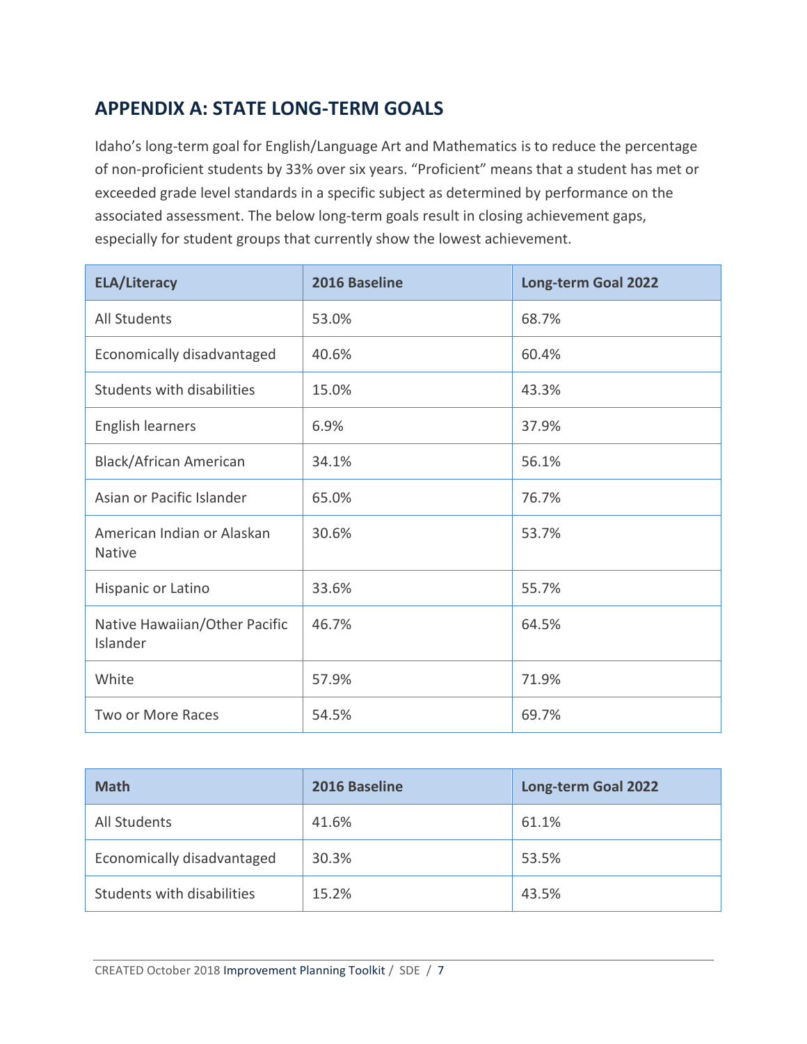# **APPENDIX A: STATE LONG-TERM GOALS**

Idaho's long-term goal for English/Language Art and Mathematics is to reduce the percentage of non-proficient students by 33% over six years. "Proficient" means that a student has met or exceeded grade level standards in a specific subject as determined by performance on the associated assessment. The below long-term goals result in closing achievement gaps, especially for student groups that currently show the lowest achievement.

| <b>ELA/Literacy</b>                         | 2016 Baseline | <b>Long-term Goal 2022</b> |
|---------------------------------------------|---------------|----------------------------|
| <b>All Students</b>                         | 53.0%         | 68.7%                      |
| Economically disadvantaged                  | 40.6%         | 60.4%                      |
| Students with disabilities                  | 15.0%         | 43.3%                      |
| <b>English learners</b>                     | 6.9%          | 37.9%                      |
| <b>Black/African American</b>               | 34.1%         | 56.1%                      |
| Asian or Pacific Islander                   | 65.0%         | 76.7%                      |
| American Indian or Alaskan<br><b>Native</b> | 30.6%         | 53.7%                      |
| Hispanic or Latino                          | 33.6%         | 55.7%                      |
| Native Hawaiian/Other Pacific<br>Islander   | 46.7%         | 64.5%                      |
| White                                       | 57.9%         | 71.9%                      |
| Two or More Races                           | 54.5%         | 69.7%                      |

| <b>Math</b>                | 2016 Baseline | <b>Long-term Goal 2022</b> |
|----------------------------|---------------|----------------------------|
| All Students               | 41.6%         | 61.1%                      |
| Economically disadvantaged | 30.3%         | 53.5%                      |
| Students with disabilities | 15.2%         | 43.5%                      |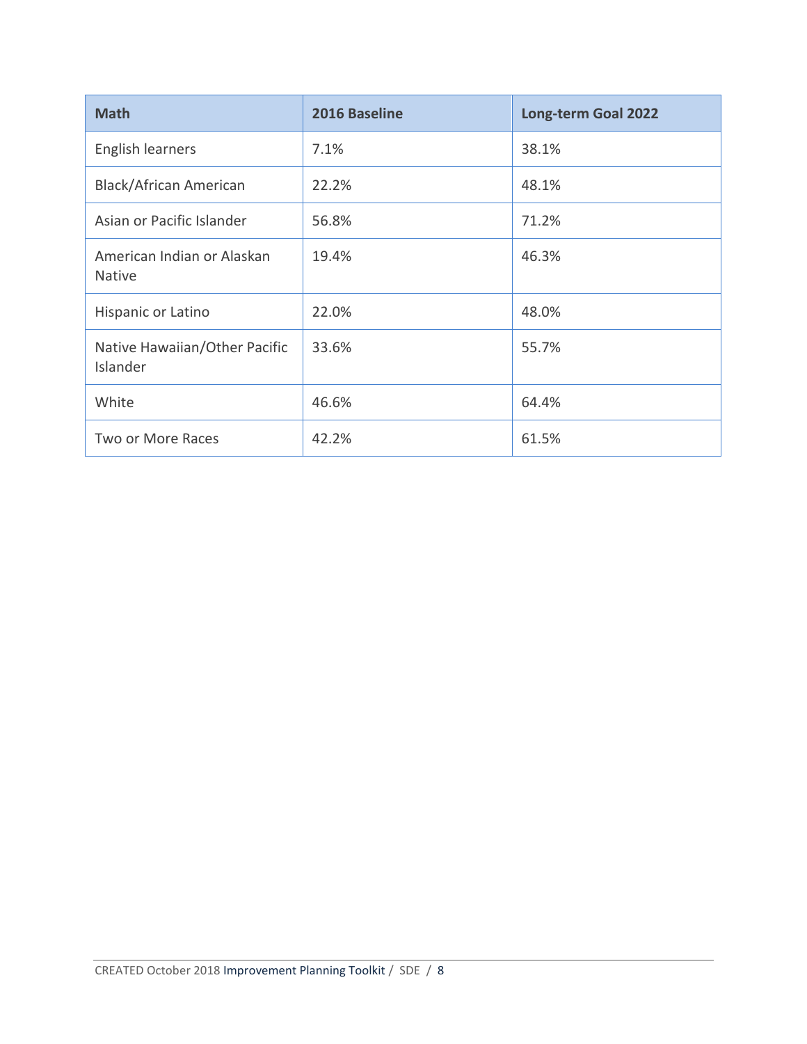| <b>Math</b>                                 | 2016 Baseline | <b>Long-term Goal 2022</b> |
|---------------------------------------------|---------------|----------------------------|
| English learners                            | 7.1%          | 38.1%                      |
| <b>Black/African American</b>               | 22.2%         | 48.1%                      |
| Asian or Pacific Islander                   | 56.8%         | 71.2%                      |
| American Indian or Alaskan<br><b>Native</b> | 19.4%         | 46.3%                      |
| Hispanic or Latino                          | 22.0%         | 48.0%                      |
| Native Hawaiian/Other Pacific<br>Islander   | 33.6%         | 55.7%                      |
| White                                       | 46.6%         | 64.4%                      |
| <b>Two or More Races</b>                    | 42.2%         | 61.5%                      |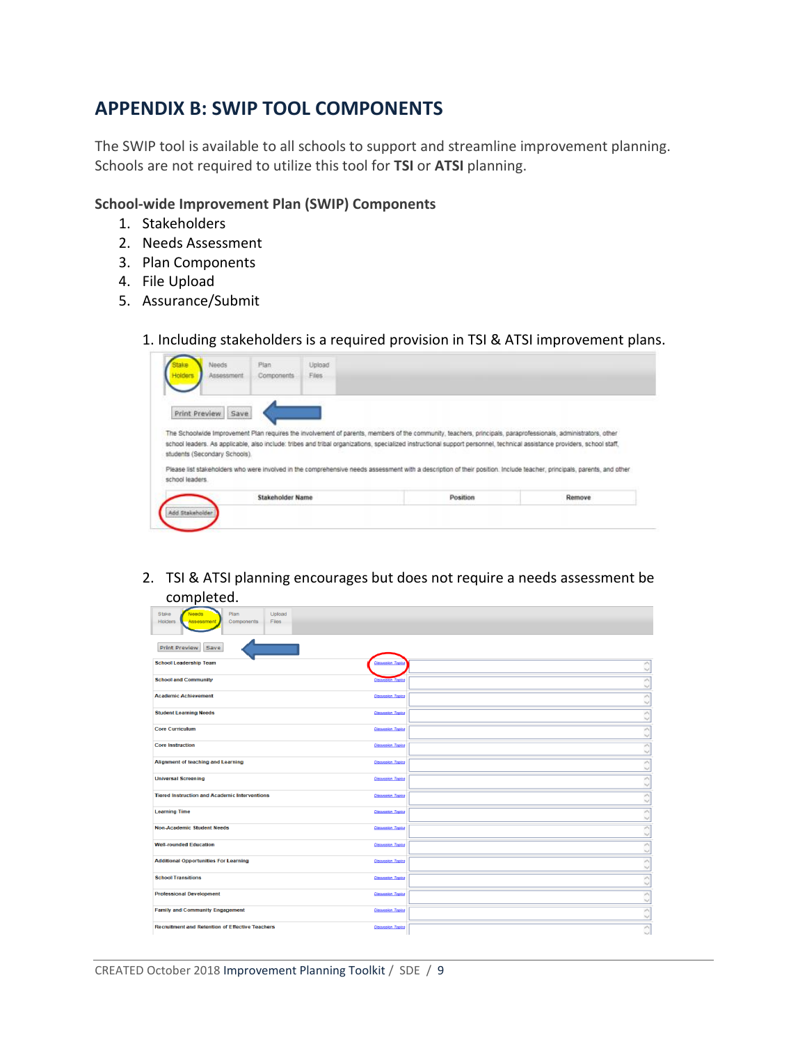### **APPENDIX B: SWIP TOOL COMPONENTS**

The SWIP tool is available to all schools to support and streamline improvement planning. Schools are not required to utilize this tool for **TSI** or **ATSI** planning.

#### **School-wide Improvement Plan (SWIP) Components**

- 1. Stakeholders
- 2. Needs Assessment
- 3. Plan Components
- 4. File Upload
- 5. Assurance/Submit

1. Including stakeholders is a required provision in TSI & ATSI improvement plans.

| Assessment                    | Plan<br>Components | Upload<br>Files |                                                                                                                                                                          |        |
|-------------------------------|--------------------|-----------------|--------------------------------------------------------------------------------------------------------------------------------------------------------------------------|--------|
|                               |                    |                 |                                                                                                                                                                          |        |
|                               |                    |                 |                                                                                                                                                                          |        |
| Print Preview<br>Save         |                    |                 |                                                                                                                                                                          |        |
|                               |                    |                 | The Schoolwide Improvement Plan requires the involvement of parents, members of the community, teachers, principals, paraprofessionals, administrators, other            |        |
|                               |                    |                 |                                                                                                                                                                          |        |
|                               |                    |                 | school leaders. As applicable, also include: tribes and tribal organizations, specialized instructional support personnel, technical assistance providers, school staff, |        |
|                               |                    |                 |                                                                                                                                                                          |        |
| students (Secondary Schools). |                    |                 | Please list stakeholders who were involved in the comprehensive needs assessment with a description of their position. Include teacher, principals, parents, and other   |        |
| school leaders.               |                    |                 |                                                                                                                                                                          |        |
|                               | Stakeholder Name   |                 | Position                                                                                                                                                                 | Remove |

2. TSI & ATSI planning encourages but does not require a needs assessment be completed.

| "                                                                                       |                          |
|-----------------------------------------------------------------------------------------|--------------------------|
| Plan<br>Stake<br>Upload<br>Needs<br><b>Holders</b><br>Components<br>Files<br>Assessment |                          |
| Print Preview Save                                                                      |                          |
| <b>School Leadership Team</b>                                                           | A                        |
| <b>DAMARIO TOP</b>                                                                      | $\sim$                   |
| <b>School and Community</b>                                                             | $\overline{\phantom{a}}$ |
| <b>Ciscovassin Topics</b>                                                               | $\sim$                   |
| <b>Academic Achievement</b>                                                             | $\overline{\phantom{a}}$ |
| <b>Cleansion Topics</b>                                                                 | $\checkmark$             |
| <b>Student Learning Needs</b>                                                           | $\overline{\phantom{a}}$ |
| <b>Cleansing Topics</b>                                                                 | $\checkmark$             |
| <b>Core Curriculum</b>                                                                  | ×                        |
| <b>Cinoussian Topics</b>                                                                | $\sim$                   |
| <b>Core Instruction</b>                                                                 | $\overline{\phantom{a}}$ |
| <b>Cleavasion Topics</b>                                                                | $\omega$                 |
| Alignment of teaching and Learning                                                      | $\overline{\phantom{a}}$ |
| <b>Cleansion Topics</b>                                                                 | $\sim$                   |
| <b>Universal Screening</b>                                                              | $\sigma$                 |
| <b>Cisaussian Topics</b>                                                                | $\sim$                   |
| <b>Tiered Instruction and Academic Interventions</b>                                    | $\overline{\phantom{a}}$ |
| <b>Cleavasion Topics</b>                                                                | $\omega$                 |
| <b>Learning Time</b>                                                                    | $\overline{\phantom{a}}$ |
| <b>Cleansing Topics</b>                                                                 | $\backsim$               |
| <b>Non-Academic Student Needs</b>                                                       | $\sim$                   |
| <b>Cinoussian Topics</b>                                                                | $\sim$                   |
| <b>Well-rounded Education</b>                                                           | $\overline{\phantom{a}}$ |
| <b>Cisaussian Topics</b>                                                                | $\sim$                   |
| <b>Additional Opportunities For Learning</b>                                            | $\overline{\phantom{a}}$ |
| <b>Cleavasion Topics</b>                                                                | $\sim$                   |
| <b>School Transitions</b>                                                               | $\overline{\phantom{a}}$ |
| <b>Cleansing Topics</b>                                                                 | $\sim$                   |
| <b>Professional Development</b>                                                         | $\overline{\phantom{a}}$ |
| Cinoussian Topics                                                                       | $\sim$                   |
| <b>Family and Community Engagement</b>                                                  | $\overline{\phantom{a}}$ |
| <b>Cisquasion Topics</b>                                                                | $\checkmark$             |
| Recruitment and Retention of Effective Teachers                                         | $\overline{\phantom{a}}$ |
| <b>Cloqueston Topics</b>                                                                | $\vee$                   |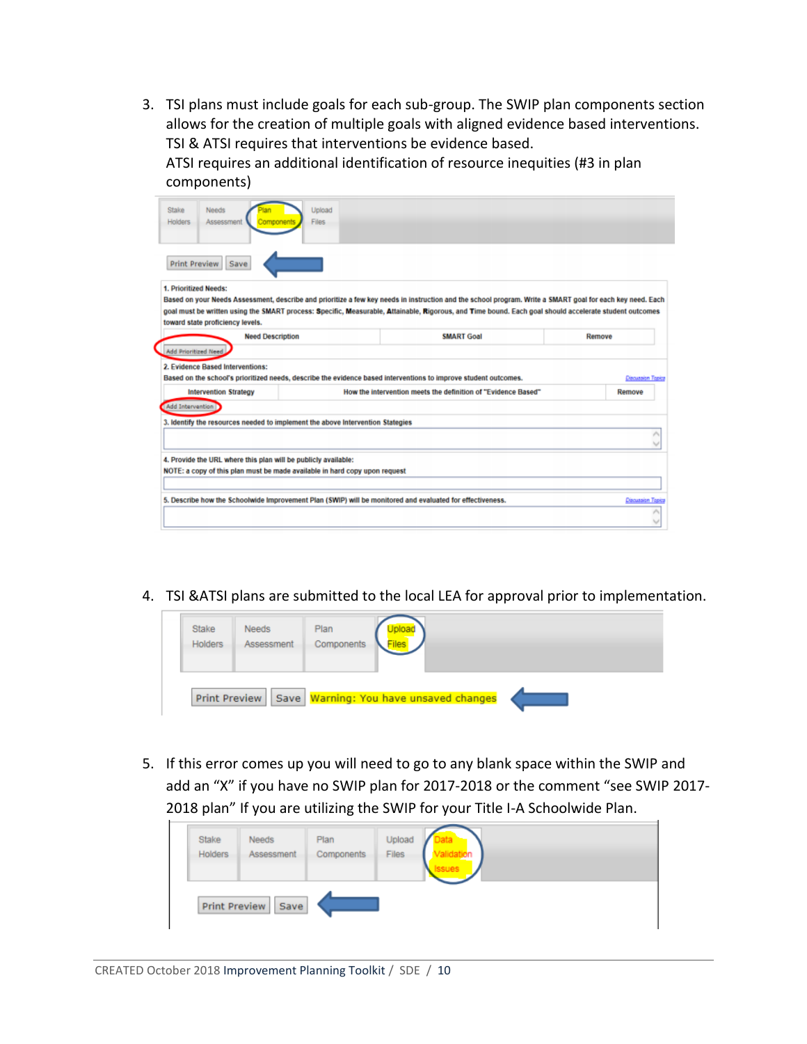3. TSI plans must include goals for each sub-group. The SWIP plan components section allows for the creation of multiple goals with aligned evidence based interventions. TSI & ATSI requires that interventions be evidence based.

ATSI requires an additional identification of resource inequities (#3 in plan components)

| Needs<br><b>Holders</b><br>Assessment                                                                                                                                                                                                                                                                                                                                                                     | Upload<br><b>Files</b> |                                                                                                                                                           |                   |
|-----------------------------------------------------------------------------------------------------------------------------------------------------------------------------------------------------------------------------------------------------------------------------------------------------------------------------------------------------------------------------------------------------------|------------------------|-----------------------------------------------------------------------------------------------------------------------------------------------------------|-------------------|
|                                                                                                                                                                                                                                                                                                                                                                                                           |                        |                                                                                                                                                           |                   |
| <b>Print Preview</b><br>Save                                                                                                                                                                                                                                                                                                                                                                              |                        |                                                                                                                                                           |                   |
| 1. Prioritized Needs:                                                                                                                                                                                                                                                                                                                                                                                     |                        |                                                                                                                                                           |                   |
|                                                                                                                                                                                                                                                                                                                                                                                                           |                        | Based on your Needs Assessment, describe and prioritize a few key needs in instruction and the school program. Write a SMART goal for each key need. Each |                   |
| toward state proficiency levels.                                                                                                                                                                                                                                                                                                                                                                          |                        | goal must be written using the SMART process: Specific, Measurable, Attainable, Rigorous, and Time bound. Each goal should accelerate student outcomes    |                   |
| <b>Need Description</b>                                                                                                                                                                                                                                                                                                                                                                                   |                        | <b>SMART Goal</b>                                                                                                                                         | Remove            |
|                                                                                                                                                                                                                                                                                                                                                                                                           |                        |                                                                                                                                                           |                   |
| <b>Add Prioritized Need.</b>                                                                                                                                                                                                                                                                                                                                                                              |                        |                                                                                                                                                           |                   |
|                                                                                                                                                                                                                                                                                                                                                                                                           |                        |                                                                                                                                                           |                   |
|                                                                                                                                                                                                                                                                                                                                                                                                           |                        |                                                                                                                                                           |                   |
| <b>Intervention Strategy</b>                                                                                                                                                                                                                                                                                                                                                                              |                        | How the intervention meets the definition of "Evidence Based"                                                                                             | Remove            |
|                                                                                                                                                                                                                                                                                                                                                                                                           |                        |                                                                                                                                                           |                   |
|                                                                                                                                                                                                                                                                                                                                                                                                           |                        |                                                                                                                                                           |                   |
|                                                                                                                                                                                                                                                                                                                                                                                                           |                        |                                                                                                                                                           |                   |
|                                                                                                                                                                                                                                                                                                                                                                                                           |                        |                                                                                                                                                           |                   |
| 2. Evidence Based Interventions:<br>Based on the school's prioritized needs, describe the evidence based interventions to improve student outcomes.<br>Add Intervention<br>3. Identify the resources needed to implement the above Intervention Stategies<br>4. Provide the URL where this plan will be publicly available:<br>NOTE: a copy of this plan must be made available in hard copy upon request |                        |                                                                                                                                                           | Discussion Topics |
| 5. Describe how the Schoolwide Improvement Plan (SWIP) will be monitored and evaluated for effectiveness.                                                                                                                                                                                                                                                                                                 |                        |                                                                                                                                                           | Discussion Topics |

4. TSI &ATSI plans are submitted to the local LEA for approval prior to implementation.



5. If this error comes up you will need to go to any blank space within the SWIP and add an "X" if you have no SWIP plan for 2017-2018 or the comment "see SWIP 2017- 2018 plan" If you are utilizing the SWIP for your Title I-A Schoolwide Plan.

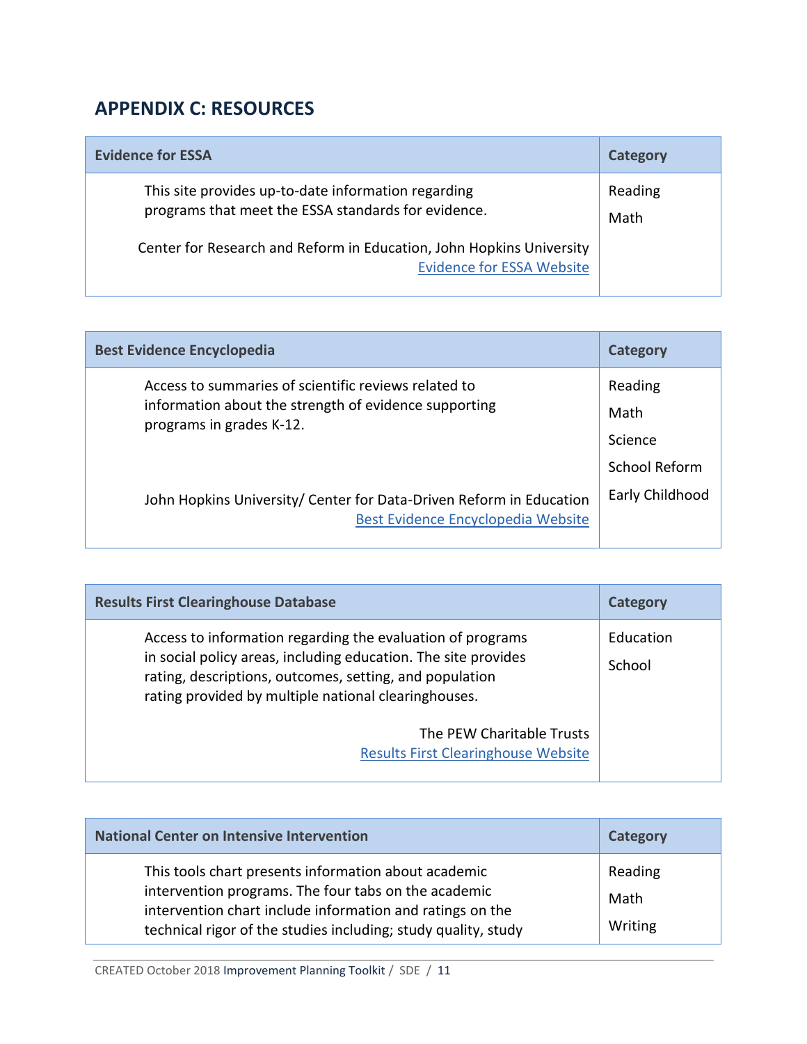# **APPENDIX C: RESOURCES**

| <b>Evidence for ESSA</b>                                                                                   | <b>Category</b> |
|------------------------------------------------------------------------------------------------------------|-----------------|
| This site provides up-to-date information regarding<br>programs that meet the ESSA standards for evidence. | Reading<br>Math |
| Center for Research and Reform in Education, John Hopkins University<br><b>Evidence for ESSA Website</b>   |                 |

| <b>Best Evidence Encyclopedia</b>                                                                                                         | Category                                           |
|-------------------------------------------------------------------------------------------------------------------------------------------|----------------------------------------------------|
| Access to summaries of scientific reviews related to<br>information about the strength of evidence supporting<br>programs in grades K-12. | Reading<br>Math<br>Science<br><b>School Reform</b> |
| John Hopkins University/ Center for Data-Driven Reform in Education<br>Best Evidence Encyclopedia Website                                 | Early Childhood                                    |

| <b>Results First Clearinghouse Database</b>                                                                                                                                                                                                     | <b>Category</b>     |
|-------------------------------------------------------------------------------------------------------------------------------------------------------------------------------------------------------------------------------------------------|---------------------|
| Access to information regarding the evaluation of programs<br>in social policy areas, including education. The site provides<br>rating, descriptions, outcomes, setting, and population<br>rating provided by multiple national clearinghouses. | Education<br>School |
| The PEW Charitable Trusts<br><b>Results First Clearinghouse Website</b>                                                                                                                                                                         |                     |

| <b>National Center on Intensive Intervention</b>                                                                                                                                                                                            | Category                   |
|---------------------------------------------------------------------------------------------------------------------------------------------------------------------------------------------------------------------------------------------|----------------------------|
| This tools chart presents information about academic<br>intervention programs. The four tabs on the academic<br>intervention chart include information and ratings on the<br>technical rigor of the studies including; study quality, study | Reading<br>Math<br>Writing |

CREATED October 2018 Improvement Planning Toolkit / SDE / 11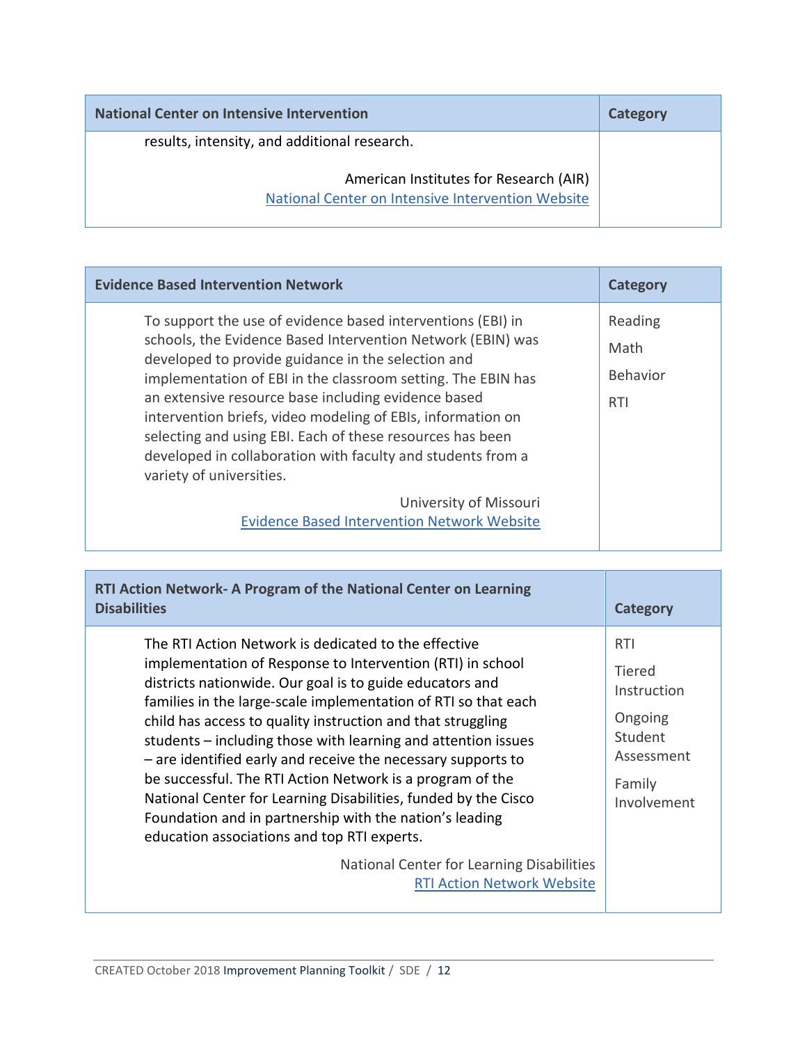| <b>National Center on Intensive Intervention</b>                                            | Category |
|---------------------------------------------------------------------------------------------|----------|
| results, intensity, and additional research.                                                |          |
| American Institutes for Research (AIR)<br>National Center on Intensive Intervention Website |          |

|                                                                                                                                                                                                                                                                                                                                                                                                                                                                                                                                                                                                                                                                    | <b>Evidence Based Intervention Network</b><br><b>Category</b> |
|--------------------------------------------------------------------------------------------------------------------------------------------------------------------------------------------------------------------------------------------------------------------------------------------------------------------------------------------------------------------------------------------------------------------------------------------------------------------------------------------------------------------------------------------------------------------------------------------------------------------------------------------------------------------|---------------------------------------------------------------|
| To support the use of evidence based interventions (EBI) in<br>Reading<br>schools, the Evidence Based Intervention Network (EBIN) was<br>Math<br>developed to provide guidance in the selection and<br><b>Behavior</b><br>implementation of EBI in the classroom setting. The EBIN has<br>an extensive resource base including evidence based<br><b>RTI</b><br>intervention briefs, video modeling of EBIs, information on<br>selecting and using EBI. Each of these resources has been<br>developed in collaboration with faculty and students from a<br>variety of universities.<br>University of Missouri<br><b>Evidence Based Intervention Network Website</b> |                                                               |

| RTI Action Network- A Program of the National Center on Learning<br><b>Disabilities</b>                                                                                                                                                                                                                                                                                                                                                                                                                                                                                                                                                                                                   | <b>Category</b>                                                                                  |
|-------------------------------------------------------------------------------------------------------------------------------------------------------------------------------------------------------------------------------------------------------------------------------------------------------------------------------------------------------------------------------------------------------------------------------------------------------------------------------------------------------------------------------------------------------------------------------------------------------------------------------------------------------------------------------------------|--------------------------------------------------------------------------------------------------|
| The RTI Action Network is dedicated to the effective<br>implementation of Response to Intervention (RTI) in school<br>districts nationwide. Our goal is to guide educators and<br>families in the large-scale implementation of RTI so that each<br>child has access to quality instruction and that struggling<br>students – including those with learning and attention issues<br>- are identified early and receive the necessary supports to<br>be successful. The RTI Action Network is a program of the<br>National Center for Learning Disabilities, funded by the Cisco<br>Foundation and in partnership with the nation's leading<br>education associations and top RTI experts. | <b>RTI</b><br>Tiered<br>Instruction<br>Ongoing<br>Student<br>Assessment<br>Family<br>Involvement |
| National Center for Learning Disabilities<br><b>RTI Action Network Website</b>                                                                                                                                                                                                                                                                                                                                                                                                                                                                                                                                                                                                            |                                                                                                  |